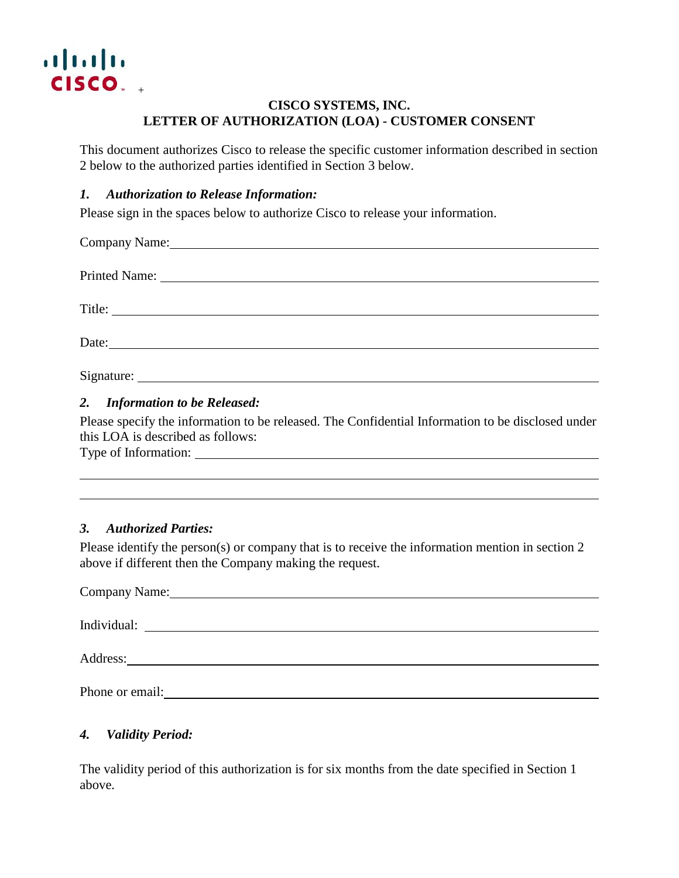

# **CISCO SYSTEMS, INC. LETTER OF AUTHORIZATION (LOA) - CUSTOMER CONSENT**

This document authorizes Cisco to release the specific customer information described in section 2 below to the authorized parties identified in Section 3 below.

### *1. Authorization to Release Information:*

Please sign in the spaces below to authorize Cisco to release your information.

| Company Name: Name Company Name Company Name Company Name Company Name Company Name Company of the Company of the Company of the Company of the Company of the Company of the Company of the Company of the Company of the Com |  |  |
|--------------------------------------------------------------------------------------------------------------------------------------------------------------------------------------------------------------------------------|--|--|
|                                                                                                                                                                                                                                |  |  |
| Title:                                                                                                                                                                                                                         |  |  |
|                                                                                                                                                                                                                                |  |  |
| Signature:                                                                                                                                                                                                                     |  |  |

## *2. Information to be Released:*

Please specify the information to be released. The Confidential Information to be disclosed under this LOA is described as follows:

Type of Information:

## *3. Authorized Parties:*

Please identify the person(s) or company that is to receive the information mention in section 2 above if different then the Company making the request.

| Company Name: Name:                                                  |  |
|----------------------------------------------------------------------|--|
|                                                                      |  |
| Individual:<br><u> 1989 - Johann Stein, fransk politik (d. 1989)</u> |  |
|                                                                      |  |
|                                                                      |  |
| Phone or email:                                                      |  |

## *4. Validity Period:*

The validity period of this authorization is for six months from the date specified in Section 1 above.